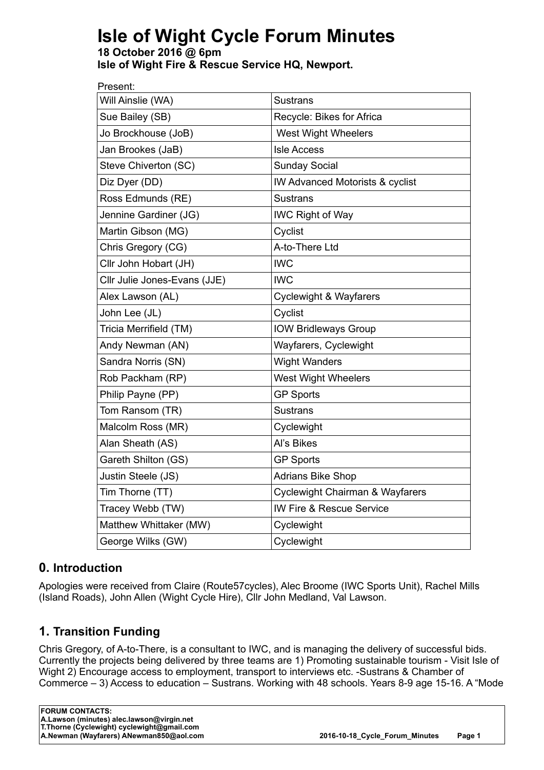# **Isle of Wight Cycle Forum Minutes**

**18 October 2016 @ 6pm Isle of Wight Fire & Rescue Service HQ, Newport.**

| Present:                     |                                            |
|------------------------------|--------------------------------------------|
| Will Ainslie (WA)            | <b>Sustrans</b>                            |
| Sue Bailey (SB)              | Recycle: Bikes for Africa                  |
| Jo Brockhouse (JoB)          | <b>West Wight Wheelers</b>                 |
| Jan Brookes (JaB)            | <b>Isle Access</b>                         |
| Steve Chiverton (SC)         | <b>Sunday Social</b>                       |
| Diz Dyer (DD)                | <b>IW Advanced Motorists &amp; cyclist</b> |
| Ross Edmunds (RE)            | <b>Sustrans</b>                            |
| Jennine Gardiner (JG)        | <b>IWC Right of Way</b>                    |
| Martin Gibson (MG)           | Cyclist                                    |
| Chris Gregory (CG)           | A-to-There Ltd                             |
| Cllr John Hobart (JH)        | <b>IWC</b>                                 |
| Cllr Julie Jones-Evans (JJE) | <b>IWC</b>                                 |
| Alex Lawson (AL)             | <b>Cyclewight &amp; Wayfarers</b>          |
| John Lee (JL)                | Cyclist                                    |
| Tricia Merrifield (TM)       | <b>IOW Bridleways Group</b>                |
| Andy Newman (AN)             | Wayfarers, Cyclewight                      |
| Sandra Norris (SN)           | <b>Wight Wanders</b>                       |
| Rob Packham (RP)             | <b>West Wight Wheelers</b>                 |
| Philip Payne (PP)            | <b>GP Sports</b>                           |
| Tom Ransom (TR)              | <b>Sustrans</b>                            |
| Malcolm Ross (MR)            | Cyclewight                                 |
| Alan Sheath (AS)             | Al's Bikes                                 |
| Gareth Shilton (GS)          | <b>GP Sports</b>                           |
| Justin Steele (JS)           | <b>Adrians Bike Shop</b>                   |
| Tim Thorne (TT)              | Cyclewight Chairman & Wayfarers            |
| Tracey Webb (TW)             | <b>IW Fire &amp; Rescue Service</b>        |
| Matthew Whittaker (MW)       | Cyclewight                                 |
| George Wilks (GW)            | Cyclewight                                 |

## **0. Introduction**

Apologies were received from Claire (Route57cycles), Alec Broome (IWC Sports Unit), Rachel Mills (Island Roads), John Allen (Wight Cycle Hire), Cllr John Medland, Val Lawson.

## **1. Transition Funding**

Chris Gregory, of A-to-There, is a consultant to IWC, and is managing the delivery of successful bids. Currently the projects being delivered by three teams are 1) Promoting sustainable tourism - Visit Isle of Wight 2) Encourage access to employment, transport to interviews etc. -Sustrans & Chamber of Commerce – 3) Access to education – Sustrans. Working with 48 schools. Years 8-9 age 15-16. A "Mode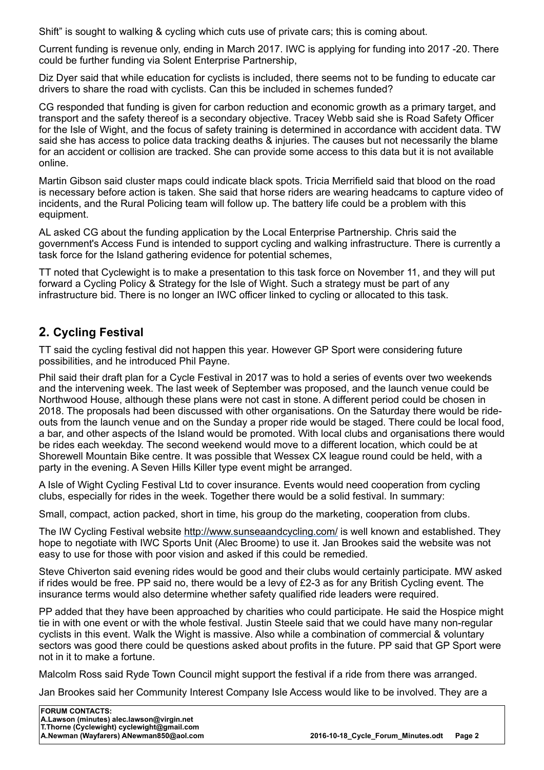Shift" is sought to walking & cycling which cuts use of private cars; this is coming about.

Current funding is revenue only, ending in March 2017. IWC is applying for funding into 2017 -20. There could be further funding via Solent Enterprise Partnership,

Diz Dyer said that while education for cyclists is included, there seems not to be funding to educate car drivers to share the road with cyclists. Can this be included in schemes funded?

CG responded that funding is given for carbon reduction and economic growth as a primary target, and transport and the safety thereof is a secondary objective. Tracey Webb said she is Road Safety Officer for the Isle of Wight, and the focus of safety training is determined in accordance with accident data. TW said she has access to police data tracking deaths & injuries. The causes but not necessarily the blame for an accident or collision are tracked. She can provide some access to this data but it is not available online.

Martin Gibson said cluster maps could indicate black spots. Tricia Merrifield said that blood on the road is necessary before action is taken. She said that horse riders are wearing headcams to capture video of incidents, and the Rural Policing team will follow up. The battery life could be a problem with this equipment.

AL asked CG about the funding application by the Local Enterprise Partnership. Chris said the government's Access Fund is intended to support cycling and walking infrastructure. There is currently a task force for the Island gathering evidence for potential schemes,

TT noted that Cyclewight is to make a presentation to this task force on November 11, and they will put forward a Cycling Policy & Strategy for the Isle of Wight. Such a strategy must be part of any infrastructure bid. There is no longer an IWC officer linked to cycling or allocated to this task.

### **2. Cycling Festival**

TT said the cycling festival did not happen this year. However GP Sport were considering future possibilities, and he introduced Phil Payne.

Phil said their draft plan for a Cycle Festival in 2017 was to hold a series of events over two weekends and the intervening week. The last week of September was proposed, and the launch venue could be Northwood House, although these plans were not cast in stone. A different period could be chosen in 2018. The proposals had been discussed with other organisations. On the Saturday there would be rideouts from the launch venue and on the Sunday a proper ride would be staged. There could be local food, a bar, and other aspects of the Island would be promoted. With local clubs and organisations there would be rides each weekday. The second weekend would move to a different location, which could be at Shorewell Mountain Bike centre. It was possible that Wessex CX league round could be held, with a party in the evening. A Seven Hills Killer type event might be arranged.

A Isle of Wight Cycling Festival Ltd to cover insurance. Events would need cooperation from cycling clubs, especially for rides in the week. Together there would be a solid festival. In summary:

Small, compact, action packed, short in time, his group do the marketing, cooperation from clubs.

The IW Cycling Festival website http://www.sunseaandcycling.com/ is well known and established. They hope to negotiate with IWC Sports Unit (Alec Broome) to use it. Jan Brookes said the website was not easy to use for those with poor vision and asked if this could be remedied.

Steve Chiverton said evening rides would be good and their clubs would certainly participate. MW asked if rides would be free. PP said no, there would be a levy of £2-3 as for any British Cycling event. The insurance terms would also determine whether safety qualified ride leaders were required.

PP added that they have been approached by charities who could participate. He said the Hospice might tie in with one event or with the whole festival. Justin Steele said that we could have many non-regular cyclists in this event. Walk the Wight is massive. Also while a combination of commercial & voluntary sectors was good there could be questions asked about profits in the future. PP said that GP Sport were not in it to make a fortune.

Malcolm Ross said Ryde Town Council might support the festival if a ride from there was arranged.

Jan Brookes said her Community Interest Company Isle Access would like to be involved. They are a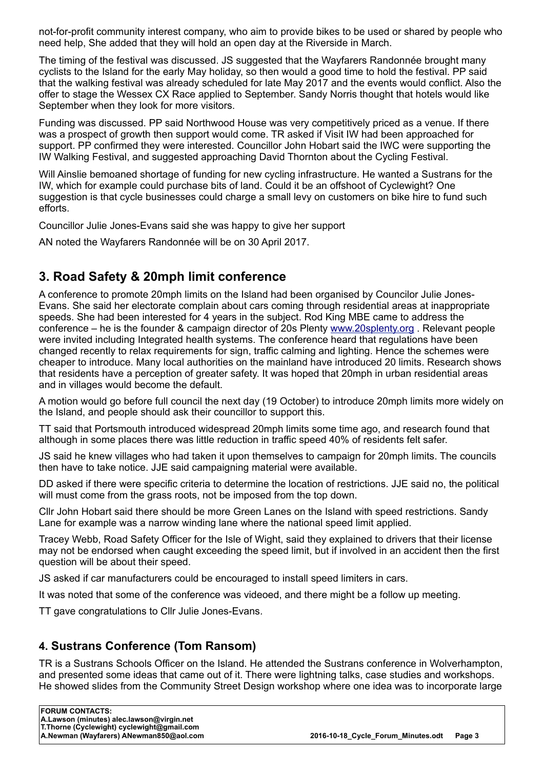not-for-profit community interest company, who aim to provide bikes to be used or shared by people who need help, She added that they will hold an open day at the Riverside in March.

The timing of the festival was discussed. JS suggested that the Wayfarers Randonnée brought many cyclists to the Island for the early May holiday, so then would a good time to hold the festival. PP said that the walking festival was already scheduled for late May 2017 and the events would conflict. Also the offer to stage the Wessex CX Race applied to September. Sandy Norris thought that hotels would like September when they look for more visitors.

Funding was discussed. PP said Northwood House was very competitively priced as a venue. If there was a prospect of growth then support would come. TR asked if Visit IW had been approached for support. PP confirmed they were interested. Councillor John Hobart said the IWC were supporting the IW Walking Festival, and suggested approaching David Thornton about the Cycling Festival.

Will Ainslie bemoaned shortage of funding for new cycling infrastructure. He wanted a Sustrans for the IW, which for example could purchase bits of land. Could it be an offshoot of Cyclewight? One suggestion is that cycle businesses could charge a small levy on customers on bike hire to fund such efforts.

Councillor Julie Jones-Evans said she was happy to give her support

AN noted the Wayfarers Randonnée will be on 30 April 2017.

## **3. Road Safety & 20mph limit conference**

A conference to promote 20mph limits on the Island had been organised by Councilor Julie Jones-Evans. She said her electorate complain about cars coming through residential areas at inappropriate speeds. She had been interested for 4 years in the subject. Rod King MBE came to address the conference – he is the founder & campaign director of 20s Plenty www.20splenty.org . Relevant people were invited including Integrated health systems. The conference heard that regulations have been changed recently to relax requirements for sign, traffic calming and lighting. Hence the schemes were cheaper to introduce. Many local authorities on the mainland have introduced 20 limits. Research shows that residents have a perception of greater safety. It was hoped that 20mph in urban residential areas and in villages would become the default.

A motion would go before full council the next day (19 October) to introduce 20mph limits more widely on the Island, and people should ask their councillor to support this.

TT said that Portsmouth introduced widespread 20mph limits some time ago, and research found that although in some places there was little reduction in traffic speed 40% of residents felt safer.

JS said he knew villages who had taken it upon themselves to campaign for 20mph limits. The councils then have to take notice. JJE said campaigning material were available.

DD asked if there were specific criteria to determine the location of restrictions. JJE said no, the political will must come from the grass roots, not be imposed from the top down.

Cllr John Hobart said there should be more Green Lanes on the Island with speed restrictions. Sandy Lane for example was a narrow winding lane where the national speed limit applied.

Tracey Webb, Road Safety Officer for the Isle of Wight, said they explained to drivers that their license may not be endorsed when caught exceeding the speed limit, but if involved in an accident then the first question will be about their speed.

JS asked if car manufacturers could be encouraged to install speed limiters in cars.

It was noted that some of the conference was videoed, and there might be a follow up meeting.

TT gave congratulations to Cllr Julie Jones-Evans.

#### **4. Sustrans Conference (Tom Ransom)**

TR is a Sustrans Schools Officer on the Island. He attended the Sustrans conference in Wolverhampton, and presented some ideas that came out of it. There were lightning talks, case studies and workshops. He showed slides from the Community Street Design workshop where one idea was to incorporate large